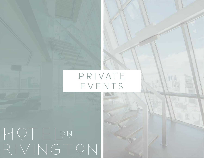# PRIVATE EVENTS

# HOTELON RIVINGTON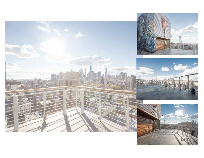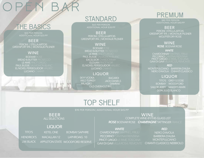# THE BASICS

OPEN BAR

\$55 PER PERSON ADDITIONAL HOUR \$25/PP

### BEER

PERONI | STELLA ARTOIS GREENPORT IPA | MONTAUK PILSNER

### WINE

BREAD & BUTTER *PROSECCO* BODVAR *ROSE* LE RIME *PINOT GRIGIO* PAUL BUSSIE *SAUVIGNON BLANC* EL NOVEL PERSEGUIDOR *MALBEC* LUCIANO *CHIANTI*

\$65 PER PERSON ADDITIONAL HOUR \$30/PP

#### BEER PERONI | STELLA ARTOIS GREENPORT IPA | MONTAUK PILSNER

### WINE

BREAD & BUTTER *PROSECCO* BODVAR *ROSE* LE RIME *PINOT GRIGIO* PAUL BUSSIE *SAUVIGNON BLANC* EL NOVEL PERSEGUIDOR *MALBEC* LUCIANO *CHIANTI* EXCELSIOR *CHARDONNAY* ELOUAN *PINOT NOIR*

### LIQUOR

WILD TURKEY OLD OVERHOLT RYE **MILAGRO** 

SKYY VODKA BACARDI JACK DANIELS

# STANDARD PREMIUM

\$80 PER PERSON ADDITIONAL HOUR \$40/PP

### BEER

PERONI | STELLA ARTOIS GREENPORT IPA | MONTAUK PILSNER WOLFFER DRY ROSE

### WINE **ROSE** BODVAR ROSE

### *WHITE*

CHARDONNAY *FANTINEL, FRIULI* PECORINO *CANTINA FRENTANA* PINOT GRIGIO *LE RIME, TOSCANA* GAVI DI GAVI *VILLA ROSA, PIEMONTE*

#### *RED*

MONTEPULCIANO BARBERA D'ALBA NERO D'AVOLA CHIANTI CLASSICO

### LIQUOR

TITO'S GREY GOOSE BOMBAY WOODFORD SAILOR JERRY MAKER'S MARK DON JULIO BLANCO

# TOP SHELF

\$90 PER PERSON | ADDITIONAL HOUR \$45/PP

BEER ALL SELECTIONS

### LIQUOR

TITO'S KETEL ONE J.W. BLACK HENDRICK'S

APPLETON STATE WOODFORD RESERVE LAPHROAIG 10 MACALLAN 12 BOMBAY SAPHIRE

WINE COMPLETE WINE-BY-THE-GLASS LIST *ROSE* BODVAR ROSE *CHAMPAGNE* TATTINGER *FRANCE*

### *WHITE*

CHARDONNAY *FANTINEL, FRIULI* PECORINO *CANTINA FRENTANA* PINOT GRIGIO *LE RIME, TOSCANA* GAVI DI GAVI *VILLA ROSA, PIEMONTE*

*RED* MONTEPULCIANO BARBERA D'ALBA NERO D'AVOLA CHIANTI CLASSICO, NEBBIOLO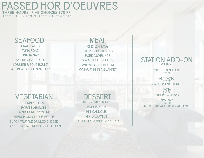# PASSED HOR D'OEUVRES THREE HOURS | FIVE CHOICES \$70 PP

ADDITIONAL HOUR \$30 PP | ADDITIONAL ITEM \$15 PP

## SEAFOOD

CRAB CAKES TUNA TARTARE BACON WRAPPED SCALLOPS LOBSTER BISQUE BOULE SHRIMP COZY ROLLS TUNA POKE

## MEAT

CHICKEN SATAY PORK DUMPLINGS WAGYU PIGS IN A BLANKET WAGYU BEEF CROSTINI WAGYU BEEF SLIDERS CHICKEN PARM BITES

### STATION ADD-ON ONE HOUR

CHEESE & SULAMI \$20 PP

ANTIPASTO SALADS | SPREADS | OLIVES + \$25 PP

> PASTA THREE PASTA OPTIONS \$30 PP

RAW BAR SHRIMP COCKTAIL I TUNA CRUDO I CLAMS \$50 PP

# VEGETARIAN

SPRING ROLLS ARTICHOKE CROSTINI PORCHETTA FINGERLING POTATO SKINS BLACK TRUFFLE GRILLED CHEESE FRENCH ONION SOUP BOULE PORCINI ARANCINI

DESSERT LOLLIPOP CHEESE CAKE TRIO MINI CANNOLIS SFOGLIATELLE MINI BROWNIES THIRTY MINUTES | \$30 PP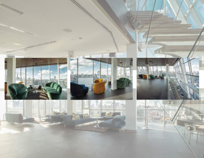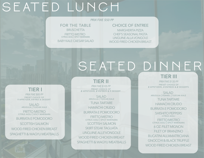# SEATED LUNCH

### *PRIX FIXE \$50 PP*

BABY KALE CAESAR SALAD **BRUSCHETTA** FOR THE TABLE FRITTO MISTRO CITRUS AIOLI | SPICY MARINARA

CHOICE OF ENTREE MARGHERITA PIZZA LINGUINE ALLA VONGOLE WOOD FIRED CHICKEN BREAST CHEF'S SEASONAL PASTA

# SEATED DINNER

### **TIER I**

*PRIX FIXE \$85 PP 1* APPETIZER, ENTREE & DESSERT PRESET CHOICE OF

> ARUGULA | TUSCAN KALE SALAD

BURRATA E POMODORO WOOD FIRED CHICKEN BREAST SCOTTISH SALMON SPAGHETTI & WAGYU MEATBALLS FRITTO MISTRO CITRUS AIOLI | SPICY MARINARA

*PRIX FIXE \$105 PP* PRESET CHOICE OF<br>2 APPETIZERS, 2 ENTREES & 1 DESSERT

**TIER II**

BURRATA E POMODORO HAMACHI CRUDO TUNA TARTARE WOOD FIRED CHICKEN BREAST SCOTTISH SALMON SKIRT STEAK TAGLIATA SPAGHETTI & WAGYU MEATBALLS LINGUINE ALLE'VONGOLE SALAD ARUGULA | TUSCAN KALE FRITTO MISTRO CITRUS AIOLI | SPICY MARINARA

### **TIER III**

*PRIX FIXE \$135 PP 3* APPETIZERS, *3* ENTREES & *2* DESSERTS PRESET CHOICE OF

BURRATA E POMODORO HAMACHI CRUDO TUNA TARTARE 6 OZ. FILET MIGNON GNOCCHI & BLACK TRUFFLE BUCATINI ALL'AMATRICIANA WOOD FIRED CHICKEN BREAST FILET OF BRANZINO SALAD ARUGULA | FENNEL | TUSCAN KALE SHISHITO PEPPERS CITRUS AIOLI FRITTO MISTRO CITRUS AIOLI | SPICY MARINARA